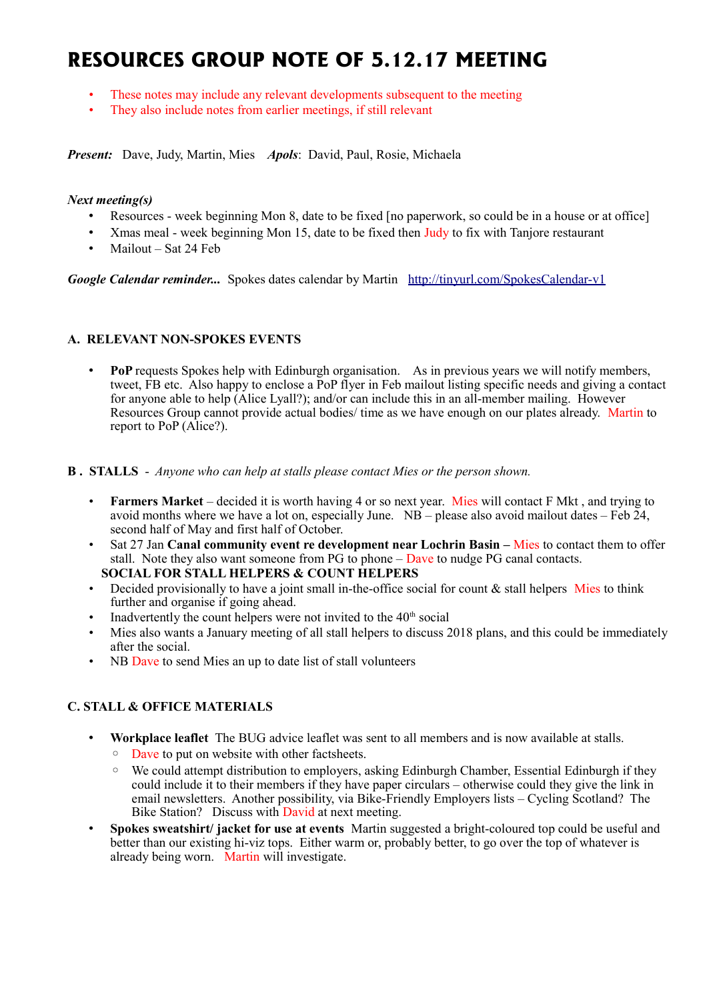# **RESOURCES GROUP NOTE OF 5.12.17 MEETING**

- These notes may include any relevant developments subsequent to the meeting
- They also include notes from earlier meetings, if still relevant

*Present:* Dave, Judy, Martin, Mies *Apols*: David, Paul, Rosie, Michaela

#### *Next meeting(s)*

- Resources week beginning Mon 8, date to be fixed [no paperwork, so could be in a house or at office]
- Xmas meal week beginning Mon 15, date to be fixed then Judy to fix with Tanjore restaurant
- Mailout Sat 24 Feb

*Google Calendar reminder...* Spokes dates calendar by Martin <http://tinyurl.com/SpokesCalendar-v1>

## **A. RELEVANT NON-SPOKES EVENTS**

**PoP** requests Spokes help with Edinburgh organisation. As in previous years we will notify members, tweet, FB etc. Also happy to enclose a PoP flyer in Feb mailout listing specific needs and giving a contact for anyone able to help (Alice Lyall?); and/or can include this in an all-member mailing. However Resources Group cannot provide actual bodies/ time as we have enough on our plates already. Martin to report to PoP (Alice?).

#### **B . STALLS** - *Anyone who can help at stalls please contact Mies or the person shown.*

- **Farmers Market** decided it is worth having 4 or so next year. Mies will contact F Mkt , and trying to avoid months where we have a lot on, especially June.  $NB$  – please also avoid mailout dates – Feb 24, second half of May and first half of October.
- Sat 27 Jan **Canal community event re development near Lochrin Basin –** Mies to contact them to offer stall. Note they also want someone from  $PG$  to phone  $-$  Dave to nudge  $PG$  canal contacts. **SOCIAL FOR STALL HELPERS & COUNT HELPERS**
- Decided provisionally to have a joint small in-the-office social for count & stall helpers Mies to think further and organise if going ahead.
- Inadvertently the count helpers were not invited to the 40<sup>th</sup> social
- Mies also wants a January meeting of all stall helpers to discuss 2018 plans, and this could be immediately after the social.
- NB Dave to send Mies an up to date list of stall volunteers

## **C. STALL & OFFICE MATERIALS**

- **Workplace leaflet** The BUG advice leaflet was sent to all members and is now available at stalls.
	- Dave to put on website with other factsheets.
	- We could attempt distribution to employers, asking Edinburgh Chamber, Essential Edinburgh if they could include it to their members if they have paper circulars – otherwise could they give the link in email newsletters. Another possibility, via Bike-Friendly Employers lists – Cycling Scotland? The Bike Station? Discuss with David at next meeting.
- **Spokes sweatshirt/ jacket for use at events** Martin suggested a bright-coloured top could be useful and better than our existing hi-viz tops. Either warm or, probably better, to go over the top of whatever is already being worn. Martin will investigate.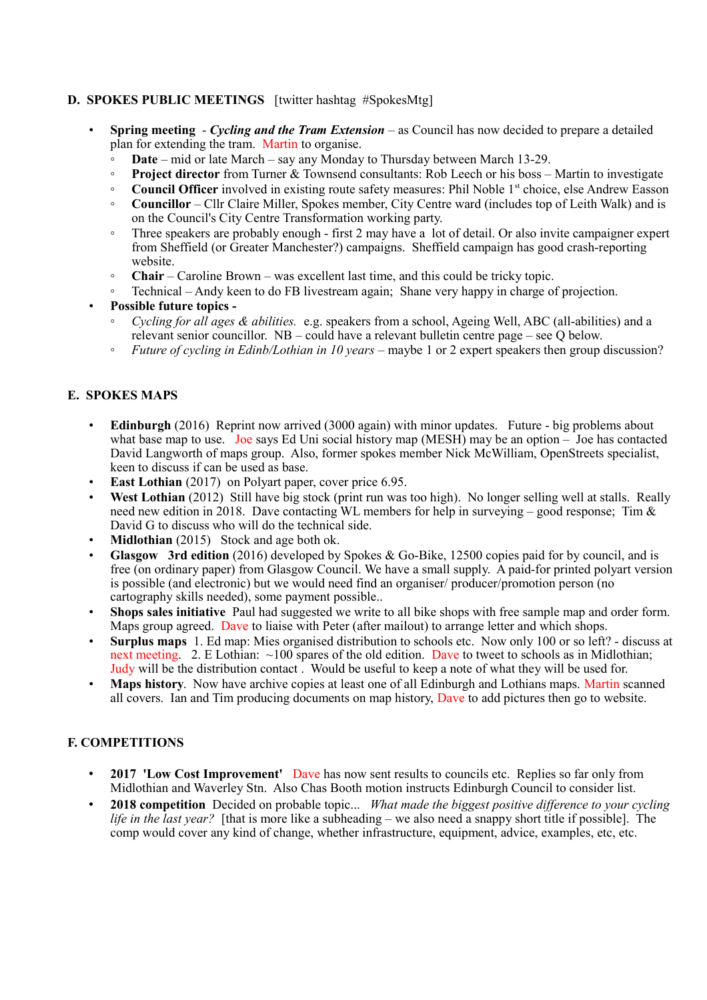## **D. SPOKES PUBLIC MEETINGS** [twitter hashtag #SpokesMtg]

- **Spring meeting** *Cycling and the Tram Extension* as Council has now decided to prepare a detailed plan for extending the tram. Martin to organise.
	- **Date** mid or late March say any Monday to Thursday between March 13-29.
	- **Project director** from Turner & Townsend consultants: Rob Leech or his boss Martin to investigate
	- **Council Officer** involved in existing route safety measures: Phil Noble 1st choice, else Andrew Easson
	- **Councillor** Cllr Claire Miller, Spokes member, City Centre ward (includes top of Leith Walk) and is on the Council's City Centre Transformation working party.
	- Three speakers are probably enough first 2 may have a lot of detail. Or also invite campaigner expert from Sheffield (or Greater Manchester?) campaigns. Sheffield campaign has good crash-reporting website.
	- **Chair** Caroline Brown was excellent last time, and this could be tricky topic.
	- Technical Andy keen to do FB livestream again; Shane very happy in charge of projection.

#### • **Possible future topics -**

- *Cycling for all ages & abilities.* e.g. speakers from a school, Ageing Well, ABC (all-abilities) and a relevant senior councillor. NB – could have a relevant bulletin centre page – see Q below.
- *Future of cycling in Edinb/Lothian in 10 years* maybe 1 or 2 expert speakers then group discussion?

## **E. SPOKES MAPS**

- **Edinburgh** (2016) Reprint now arrived (3000 again) with minor updates. Future big problems about what base map to use. Joe says Ed Uni social history map (MESH) may be an option  $\sim$  Joe has contacted David Langworth of maps group. Also, former spokes member Nick McWilliam, OpenStreets specialist, keen to discuss if can be used as base.
- **East Lothian** (2017) on Polyart paper, cover price 6.95.
- **West Lothian** (2012) Still have big stock (print run was too high). No longer selling well at stalls. Really need new edition in 2018. Dave contacting WL members for help in surveying – good response; Tim & David G to discuss who will do the technical side.
- **Midlothian** (2015) Stock and age both ok.
- **Glasgow 3rd edition** (2016) developed by Spokes & Go-Bike, 12500 copies paid for by council, and is free (on ordinary paper) from Glasgow Council. We have a small supply. A paid-for printed polyart version is possible (and electronic) but we would need find an organiser/ producer/promotion person (no cartography skills needed), some payment possible..
- **Shops sales initiative** Paul had suggested we write to all bike shops with free sample map and order form. Maps group agreed. Dave to liaise with Peter (after mailout) to arrange letter and which shops.
- **Surplus maps** 1. Ed map: Mies organised distribution to schools etc. Now only 100 or so left? discuss at next meeting. 2. E Lothian: ~100 spares of the old edition. Dave to tweet to schools as in Midlothian; Judy will be the distribution contact . Would be useful to keep a note of what they will be used for.
- **Maps history.** Now have archive copies at least one of all Edinburgh and Lothians maps. Martin scanned all covers. Ian and Tim producing documents on map history, Dave to add pictures then go to website.

## **F. COMPETITIONS**

- 2017 'Low Cost Improvement' Dave has now sent results to councils etc. Replies so far only from Midlothian and Waverley Stn. Also Chas Booth motion instructs Edinburgh Council to consider list.
- **2018 competition** Decided on probable topic... *What made the biggest positive difference to your cycling life in the last year?* [that is more like a subheading – we also need a snappy short title if possible]. The comp would cover any kind of change, whether infrastructure, equipment, advice, examples, etc, etc.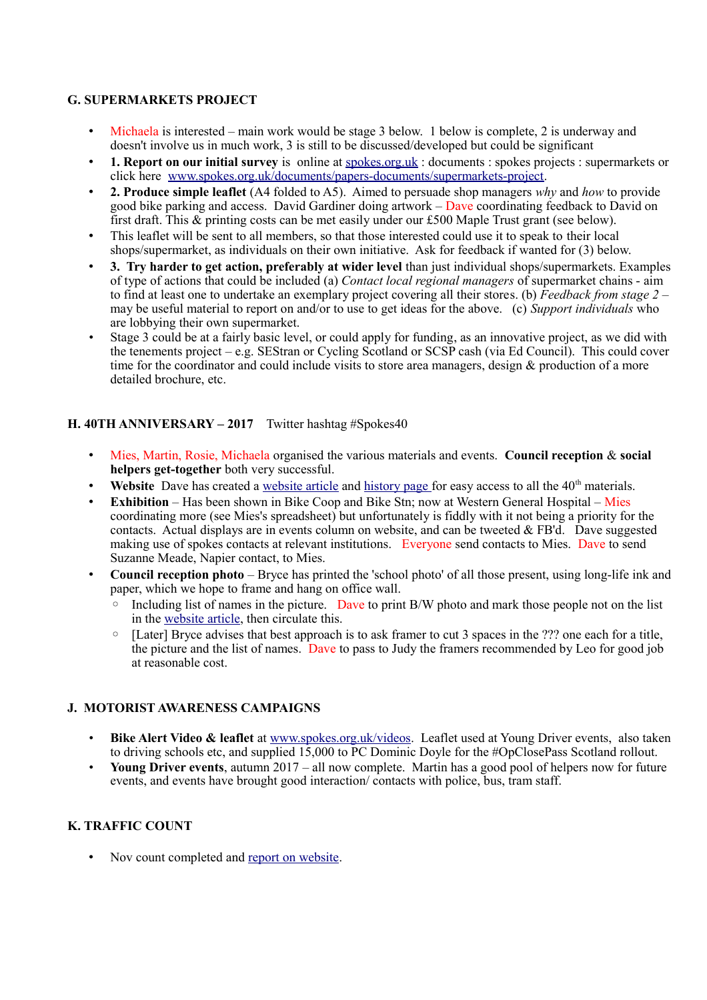## **G. SUPERMARKETS PROJECT**

- Michaela is interested main work would be stage 3 below. 1 below is complete, 2 is underway and doesn't involve us in much work, 3 is still to be discussed/developed but could be significant
- **1. Report on our initial survey** is online at [spokes.org.uk](http://spokes.org.uk/) : documents : spokes projects : supermarkets or click here [www.spokes.org.uk/documents/papers-documents/supermarkets-project.](http://www.spokes.org.uk/documents/papers-documents/supermarkets-project)
- **2. Produce simple leaflet** (A4 folded to A5). Aimed to persuade shop managers *why* and *how* to provide good bike parking and access. David Gardiner doing artwork –  $D$ ave coordinating feedback to David on first draft. This & printing costs can be met easily under our £500 Maple Trust grant (see below).
- This leaflet will be sent to all members, so that those interested could use it to speak to their local shops/supermarket, as individuals on their own initiative. Ask for feedback if wanted for (3) below.
- **3. Try harder to get action, preferably at wider level** than just individual shops/supermarkets. Examples of type of actions that could be included (a) *Contact local regional managers* of supermarket chains - aim to find at least one to undertake an exemplary project covering all their stores. (b) *Feedback from stage 2* – may be useful material to report on and/or to use to get ideas for the above. (c) *Support individuals* who are lobbying their own supermarket.
- Stage 3 could be at a fairly basic level, or could apply for funding, as an innovative project, as we did with the tenements project – e.g. SEStran or Cycling Scotland or SCSP cash (via Ed Council). This could cover time for the coordinator and could include visits to store area managers, design & production of a more detailed brochure, etc.

#### **H. 40TH ANNIVERSARY – 2017** Twitter hashtag #Spokes40

- Mies, Martin, Rosie, Michaela organised the various materials and events. **Council reception** & **social helpers get-together** both very successful.
- Website Dave has created a <u>website article</u> and [history page f](http://www.spokes.org.uk/documents/odds-and-ends-may-be-exciting/spokes-history/)or easy access to all the 40<sup>th</sup> materials.
- **Exhibition** Has been shown in Bike Coop and Bike Stn; now at Western General Hospital Mies coordinating more (see Mies's spreadsheet) but unfortunately is fiddly with it not being a priority for the contacts. Actual displays are in events column on website, and can be tweeted & FB'd. Dave suggested making use of spokes contacts at relevant institutions. Everyone send contacts to Mies. Dave to send Suzanne Meade, Napier contact, to Mies.
- **Council reception photo** Bryce has printed the 'school photo' of all those present, using long-life ink and paper, which we hope to frame and hang on office wall.
	- Including list of names in the picture. Dave to print B/W photo and mark those people not on the list in the [website article,](http://www.spokes.org.uk/2017/11/spokes-is-40/) then circulate this.
	- [Later] Bryce advises that best approach is to ask framer to cut 3 spaces in the ??? one each for a title, the picture and the list of names. Dave to pass to Judy the framers recommended by Leo for good job at reasonable cost.

## **J. MOTORIST AWARENESS CAMPAIGNS**

- **Bike Alert Video & leaflet** at [www.spokes.org.uk/videos.](http://www.spokes.org.uk/videos) Leaflet used at Young Driver events, also taken to driving schools etc, and supplied 15,000 to PC Dominic Doyle for the #OpClosePass Scotland rollout.
- **Young Driver events**, autumn 2017 all now complete. Martin has a good pool of helpers now for future events, and events have brought good interaction/ contacts with police, bus, tram staff.

## **K. TRAFFIC COUNT**

• Nov count completed and [report on website.](http://www.spokes.org.uk/2017/11/traffic-count-highest-ever-november-bike-2/)